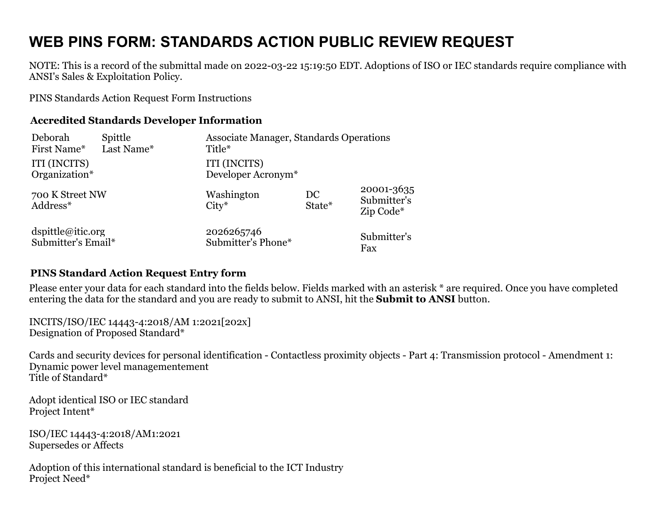## **WEB PINS FORM: STANDARDS ACTION PUBLIC REVIEW REQUEST**

NOTE: This is a record of the submittal made on 2022-03-22 15:19:50 EDT. Adoptions of ISO or IEC standards require compliance with ANSI's Sales & Exploitation Policy.

[PINS Standards Action Request Form Instructions](https://ansi.org/portal/psawebforms/PINS_Form)

## **Accredited Standards Developer Information**

| Deborah                     | Spittle    | Associate Manager, Standards Operations |              |                                        |
|-----------------------------|------------|-----------------------------------------|--------------|----------------------------------------|
| First Name*                 | Last Name* | Title*                                  |              |                                        |
| ITI (INCITS)                |            | ITI (INCITS)                            |              |                                        |
| Organization*               |            | Developer Acronym <sup>*</sup>          |              |                                        |
| 700 K Street NW<br>Address* |            | Washington<br>$City*$                   | DC<br>State* | 20001-3635<br>Submitter's<br>Zip Code* |
| dspittle@itic.org           |            | 2026265746                              |              | Submitter's                            |
| Submitter's Email*          |            | Submitter's Phone*                      |              | Fax                                    |

## **PINS Standard Action Request Entry form**

Please enter your data for each standard into the fields below. Fields marked with an asterisk \* are required. Once you have completed entering the data for the standard and you are ready to submit to ANSI, hit the **Submit to ANSI** button.

INCITS/ISO/IEC 14443-4:2018/AM 1:2021[202x] Designation of Proposed Standard\*

Cards and security devices for personal identification - Contactless proximity objects - Part 4: Transmission protocol - Amendment 1: Dynamic power level managementement Title of Standard\*

Adopt identical ISO or IEC standard Project Intent\*

ISO/IEC 14443-4:2018/AM1:2021 Supersedes or Affects

Adoption of this international standard is beneficial to the ICT Industry Project Need\*